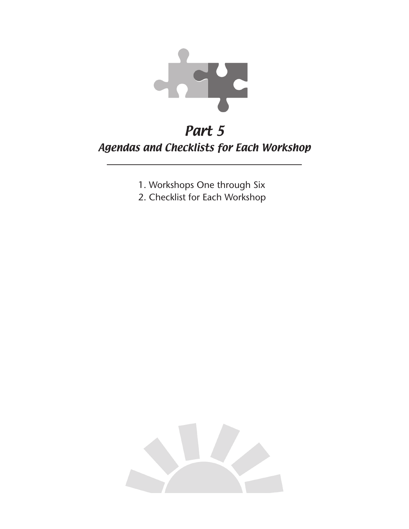

## Part 5 Agendas and Checklists for Each Workshop

- 1. Workshops One through Six
- 2. Checklist for Each Workshop

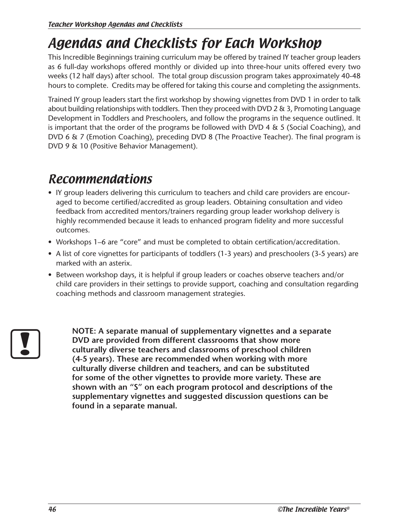# Agendas and Checklists for Each Workshop

This Incredible Beginnings training curriculum may be offered by trained IY teacher group leaders as 6 full-day workshops offered monthly or divided up into three-hour units offered every two weeks (12 half days) after school. The total group discussion program takes approximately 40-48 hours to complete. Credits may be offered for taking this course and completing the assignments.

Trained IY group leaders start the first workshop by showing vignettes from DVD 1 in order to talk about building relationships with toddlers. Then they proceed with DVD 2 & 3, Promoting Language Development in Toddlers and Preschoolers, and follow the programs in the sequence outlined. It is important that the order of the programs be followed with DVD 4  $\&$  5 (Social Coaching), and DVD 6 & 7 (Emotion Coaching), preceding DVD 8 (The Proactive Teacher). The final program is DVD 9 & 10 (Positive Behavior Management).

# Recommendations

- IY group leaders delivering this curriculum to teachers and child care providers are encouraged to become certified/accredited as group leaders. Obtaining consultation and video feedback from accredited mentors/trainers regarding group leader workshop delivery is highly recommended because it leads to enhanced program fidelity and more successful outcomes.
- Workshops 1–6 are "core" and must be completed to obtain certification/accreditation.
- A list of core vignettes for participants of toddlers (1-3 years) and preschoolers (3-5 years) are marked with an asterix.
- Between workshop days, it is helpful if group leaders or coaches observe teachers and/or child care providers in their settings to provide support, coaching and consultation regarding coaching methods and classroom management strategies.

**NOTE: A separate manual of supplementary vignettes and a separate DVD are provided from different classrooms that show more culturally diverse teachers and classrooms of preschool children (4-5 years). These are recommended when working with more culturally diverse children and teachers, and can be substituted for some of the other vignettes to provide more variety. These are shown with an "S" on each program protocol and descriptions of the supplementary vignettes and suggested discussion questions can be found in a separate manual.**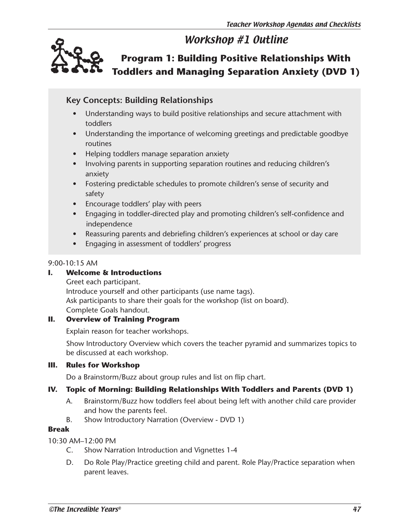## Workshop #1 Outline



#### **Key Concepts: Building Relationships**

- Understanding ways to build positive relationships and secure attachment with toddlers
- Understanding the importance of welcoming greetings and predictable goodbye routines
- Helping toddlers manage separation anxiety
- Involving parents in supporting separation routines and reducing children's anxiety
- Fostering predictable schedules to promote children's sense of security and safety
- Encourage toddlers' play with peers
- Engaging in toddler-directed play and promoting children's self-confidence and independence
- Reassuring parents and debriefing children's experiences at school or day care
- Engaging in assessment of toddlers' progress

#### 9:00-10:15 AM

#### **I. Welcome & Introductions**

Greet each participant. Introduce yourself and other participants (use name tags). Ask participants to share their goals for the workshop (list on board). Complete Goals handout.

#### **II. Overview of Training Program**

Explain reason for teacher workshops.

Show Introductory Overview which covers the teacher pyramid and summarizes topics to be discussed at each workshop.

#### **III. Rules for Workshop**

Do a Brainstorm/Buzz about group rules and list on flip chart.

#### **IV. Topic of Morning: Building Relationships With Toddlers and Parents (DVD 1)**

- A. Brainstorm/Buzz how toddlers feel about being left with another child care provider and how the parents feel.
- B. Show Introductory Narration (Overview DVD 1)

#### **Break**

#### 10:30 AM–12:00 PM

- C. Show Narration Introduction and Vignettes 1-4
- D. Do Role Play/Practice greeting child and parent. Role Play/Practice separation when parent leaves.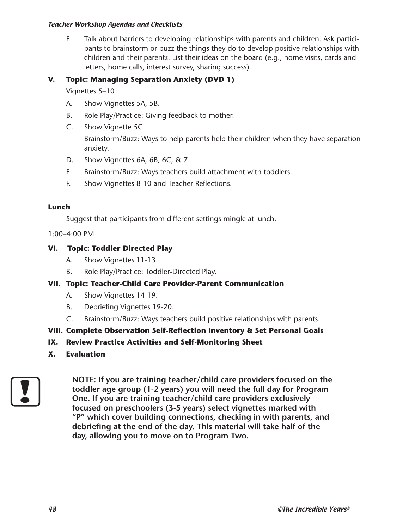#### Teacher Workshop Agendas and Checklists

E. Talk about barriers to developing relationships with parents and children. Ask participants to brainstorm or buzz the things they do to develop positive relationships with children and their parents. List their ideas on the board (e.g., home visits, cards and letters, home calls, interest survey, sharing success).

#### **V. Topic: Managing Separation Anxiety (DVD 1)**

Vignettes 5–10

- A. Show Vignettes 5A, 5B.
- B. Role Play/Practice: Giving feedback to mother.
- C. Show Vignette 5C.

Brainstorm/Buzz: Ways to help parents help their children when they have separation anxiety.

- D. Show Vignettes 6A, 6B, 6C, & 7.
- E. Brainstorm/Buzz: Ways teachers build attachment with toddlers.
- F. Show Vignettes 8-10 and Teacher Reflections.

#### **Lunch**

Suggest that participants from different settings mingle at lunch.

1:00–4:00 PM

#### **VI. Topic: Toddler-Directed Play**

- A. Show Vignettes 11-13.
- B. Role Play/Practice: Toddler-Directed Play.

#### **VII. Topic: Teacher-Child Care Provider-Parent Communication**

- A. Show Vignettes 14-19.
- B. Debriefing Vignettes 19-20.
- C. Brainstorm/Buzz: Ways teachers build positive relationships with parents.

#### **VIII. Complete Observation Self-Reflection Inventory & Set Personal Goals**

#### **IX. Review Practice Activities and Self-Monitoring Sheet**

**X. Evaluation**



**NOTE: If you are training teacher/child care providers focused on the toddler age group (1-2 years) you will need the full day for Program One. If you are training teacher/child care providers exclusively focused on preschoolers (3-5 years) select vignettes marked with "P" which cover building connections, checking in with parents, and debriefing at the end of the day. This material will take half of the day, allowing you to move on to Program Two.**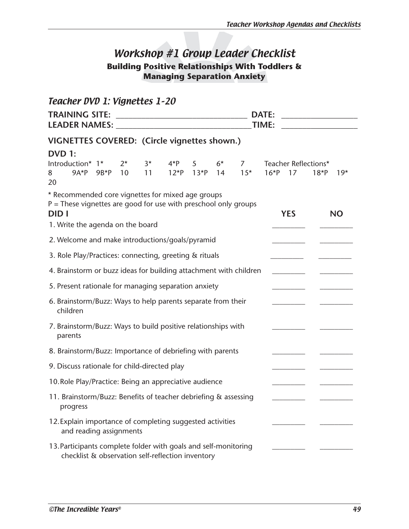# Workshop #1 Group Leader Checklist

#### **Building Positive Relationships With Toddlers & Managing Separation Anxiety**

| Teacher DVD 1: Vignettes 1-20                                                                                                                                       |           |                |             |       |                 |            |            |                                |            |        |           |
|---------------------------------------------------------------------------------------------------------------------------------------------------------------------|-----------|----------------|-------------|-------|-----------------|------------|------------|--------------------------------|------------|--------|-----------|
| <b>TRAINING SITE:</b><br>LEADER NAMES: NAMES:                                                                                                                       |           | DATE:<br>TIME: |             |       |                 |            |            |                                |            |        |           |
| VIGNETTES COVERED: (Circle vignettes shown.)                                                                                                                        |           |                |             |       |                 |            |            |                                |            |        |           |
| <b>DVD 1:</b><br>Introduction* 1*<br>8<br>20                                                                                                                        | 9A*P 9B*P | $2^*$<br>10    | $3^*$<br>11 | $4*P$ | .5<br>12*P 13*P | $6*$<br>14 | 7<br>$15*$ | Teacher Reflections*<br>$16*P$ | 17         | $18*P$ | $19*$     |
| * Recommended core vignettes for mixed age groups<br>$P =$ These vignettes are good for use with preschool only groups<br>DID I<br>1. Write the agenda on the board |           |                |             |       |                 |            |            |                                | <b>YES</b> |        | <b>NO</b> |
| 2. Welcome and make introductions/goals/pyramid                                                                                                                     |           |                |             |       |                 |            |            |                                |            |        |           |
| 3. Role Play/Practices: connecting, greeting & rituals                                                                                                              |           |                |             |       |                 |            |            |                                |            |        |           |
| 4. Brainstorm or buzz ideas for building attachment with children                                                                                                   |           |                |             |       |                 |            |            |                                |            |        |           |
| 5. Present rationale for managing separation anxiety                                                                                                                |           |                |             |       |                 |            |            |                                |            |        |           |
| 6. Brainstorm/Buzz: Ways to help parents separate from their<br>children                                                                                            |           |                |             |       |                 |            |            |                                |            |        |           |
| 7. Brainstorm/Buzz: Ways to build positive relationships with<br>parents                                                                                            |           |                |             |       |                 |            |            |                                |            |        |           |
| 8. Brainstorm/Buzz: Importance of debriefing with parents                                                                                                           |           |                |             |       |                 |            |            |                                |            |        |           |
| 9. Discuss rationale for child-directed play                                                                                                                        |           |                |             |       |                 |            |            |                                |            |        |           |
| 10. Role Play/Practice: Being an appreciative audience                                                                                                              |           |                |             |       |                 |            |            |                                |            |        |           |
| 11. Brainstorm/Buzz: Benefits of teacher debriefing & assessing<br>progress                                                                                         |           |                |             |       |                 |            |            |                                |            |        |           |
| 12. Explain importance of completing suggested activities<br>and reading assignments                                                                                |           |                |             |       |                 |            |            |                                |            |        |           |
| 13. Participants complete folder with goals and self-monitoring<br>checklist & observation self-reflection inventory                                                |           |                |             |       |                 |            |            |                                |            |        |           |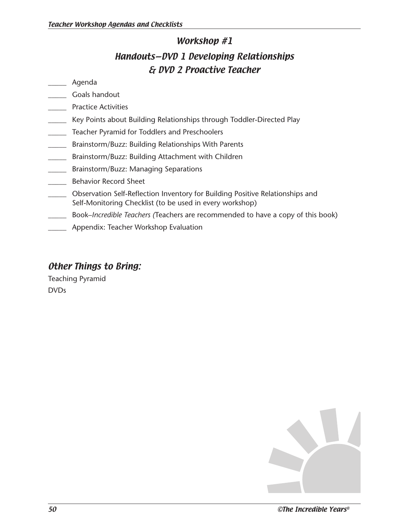## Workshop #1 Handouts—DVD 1 Developing Relationships & DVD 2 Proactive Teacher

- \_\_\_\_\_ Agenda
- \_\_\_\_\_ Goals handout
- \_\_\_\_\_ Practice Activities
- \_\_\_\_\_ Key Points about Building Relationships through Toddler-Directed Play
- \_\_\_\_\_ Teacher Pyramid for Toddlers and Preschoolers
- Brainstorm/Buzz: Building Relationships With Parents
- \_\_\_\_\_ Brainstorm/Buzz: Building Attachment with Children
- \_\_\_\_\_ Brainstorm/Buzz: Managing Separations
- \_\_\_\_\_ Behavior Record Sheet
- \_\_\_\_\_ Observation Self-Reflection Inventory for Building Positive Relationships and Self-Monitoring Checklist (to be used in every workshop)
- \_\_\_\_\_ Book–*Incredible Teachers (*Teachers are recommended to have a copy of this book)
- \_\_\_\_\_ Appendix: Teacher Workshop Evaluation

### Other Things to Bring:

Teaching Pyramid DVDs

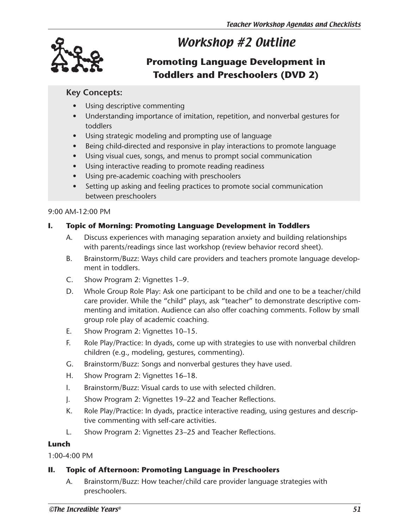

## Workshop #2 Outline

## **Promoting Language Development in Toddlers and Preschoolers (DVD 2)**

#### **Key Concepts:**

- Using descriptive commenting
- Understanding importance of imitation, repetition, and nonverbal gestures for toddlers
- Using strategic modeling and prompting use of language
- Being child-directed and responsive in play interactions to promote language
- Using visual cues, songs, and menus to prompt social communication
- Using interactive reading to promote reading readiness
- Using pre-academic coaching with preschoolers
- Setting up asking and feeling practices to promote social communication between preschoolers

#### 9:00 AM-12:00 PM

#### **I. Topic of Morning: Promoting Language Development in Toddlers**

- A. Discuss experiences with managing separation anxiety and building relationships with parents/readings since last workshop (review behavior record sheet).
- B. Brainstorm/Buzz: Ways child care providers and teachers promote language development in toddlers.
- C. Show Program 2: Vignettes 1–9.
- D. Whole Group Role Play: Ask one participant to be child and one to be a teacher/child care provider. While the "child" plays, ask "teacher" to demonstrate descriptive commenting and imitation. Audience can also offer coaching comments. Follow by small group role play of academic coaching.
- E. Show Program 2: Vignettes 10–15.
- F. Role Play/Practice: In dyads, come up with strategies to use with nonverbal children children (e.g., modeling, gestures, commenting).
- G. Brainstorm/Buzz: Songs and nonverbal gestures they have used.
- H. Show Program 2: Vignettes 16–18.
- I. Brainstorm/Buzz: Visual cards to use with selected children.
- J. Show Program 2: Vignettes 19–22 and Teacher Reflections.
- K. Role Play/Practice: In dyads, practice interactive reading, using gestures and descriptive commenting with self-care activities.
- L. Show Program 2: Vignettes 23–25 and Teacher Reflections.

#### **Lunch**

1:00-4:00 PM

#### **II. Topic of Afternoon: Promoting Language in Preschoolers**

A. Brainstorm/Buzz: How teacher/child care provider language strategies with preschoolers.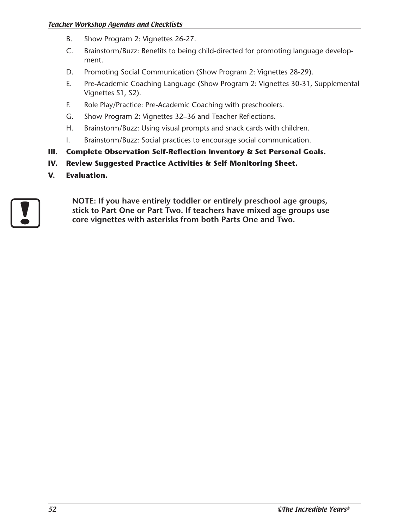- B. Show Program 2: Vignettes 26-27.
- C. Brainstorm/Buzz: Benefits to being child-directed for promoting language development.
- D. Promoting Social Communication (Show Program 2: Vignettes 28-29).
- E. Pre-Academic Coaching Language (Show Program 2: Vignettes 30-31, Supplemental Vignettes S1, S2).
- F. Role Play/Practice: Pre-Academic Coaching with preschoolers.
- G. Show Program 2: Vignettes 32–36 and Teacher Reflections.
- H. Brainstorm/Buzz: Using visual prompts and snack cards with children.
- I. Brainstorm/Buzz: Social practices to encourage social communication.
- **III. Complete Observation Self-Reflection Inventory & Set Personal Goals.**
- **IV. Review Suggested Practice Activities & Self-Monitoring Sheet.**
- **V. Evaluation.**



**NOTE: If you have entirely toddler or entirely preschool age groups, stick to Part One or Part Two. If teachers have mixed age groups use ! core vignettes with asterisks from both Parts One and Two.**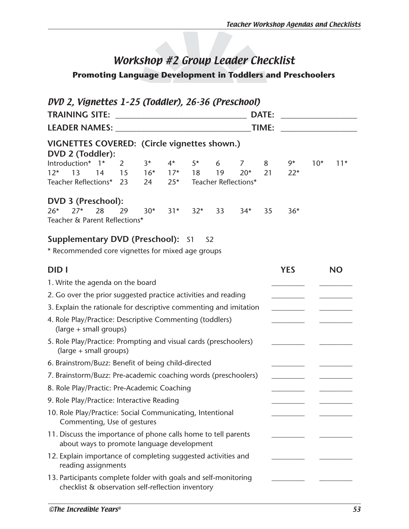## Workshop #2 Group Leader Checklist **Promoting Language Development in Toddlers and Preschoolers**

| DVD 2, Vignettes 1-25 (Toddler), 26-36 (Preschool)                                                                   |                   |       |                            |      |                |                          |              |               |       |           |
|----------------------------------------------------------------------------------------------------------------------|-------------------|-------|----------------------------|------|----------------|--------------------------|--------------|---------------|-------|-----------|
| <b>TRAINING SITE:</b>                                                                                                |                   |       |                            |      |                |                          | <b>DATE:</b> |               |       |           |
|                                                                                                                      |                   |       |                            |      |                |                          | TIME:        |               |       |           |
| VIGNETTES COVERED: (Circle vignettes shown.)                                                                         |                   |       |                            |      |                |                          |              |               |       |           |
| DVD 2 (Toddler):                                                                                                     |                   |       |                            |      |                |                          |              |               |       |           |
| Introduction* 1*<br>$12*$<br>13<br>14                                                                                | $2^{\circ}$<br>15 | $3^*$ | $4^*$<br>$16*$ $17*$ 18 19 | $5*$ | 6              | 7<br>$20*$               | 8<br>21      | $9*$<br>$22*$ | $10*$ | $11*$     |
| Teacher Reflections* 23                                                                                              |                   | 24    |                            |      |                | 25* Teacher Reflections* |              |               |       |           |
| DVD 3 (Preschool):                                                                                                   |                   |       |                            |      |                |                          |              |               |       |           |
| $27*$<br>28<br>$26*$                                                                                                 | 29                |       | $30*$ $31*$ $32*$          |      | 33             | $34*$                    | 35           | $36*$         |       |           |
| Teacher & Parent Reflections*                                                                                        |                   |       |                            |      |                |                          |              |               |       |           |
| <b>Supplementary DVD (Preschool): S1</b>                                                                             |                   |       |                            |      | S <sub>2</sub> |                          |              |               |       |           |
| * Recommended core vignettes for mixed age groups                                                                    |                   |       |                            |      |                |                          |              |               |       |           |
| <b>DIDI</b>                                                                                                          |                   |       |                            |      |                |                          |              | <b>YES</b>    |       | <b>NO</b> |
| 1. Write the agenda on the board                                                                                     |                   |       |                            |      |                |                          |              |               |       |           |
| 2. Go over the prior suggested practice activities and reading                                                       |                   |       |                            |      |                |                          |              |               |       |           |
| 3. Explain the rationale for descriptive commenting and imitation                                                    |                   |       |                            |      |                |                          |              |               |       |           |
| 4. Role Play/Practice: Descriptive Commenting (toddlers)<br>(large + small groups)                                   |                   |       |                            |      |                |                          |              |               |       |           |
| 5. Role Play/Practice: Prompting and visual cards (preschoolers)<br>(large + small groups)                           |                   |       |                            |      |                |                          |              |               |       |           |
| 6. Brainstrom/Buzz: Benefit of being child-directed                                                                  |                   |       |                            |      |                |                          |              |               |       |           |
| 7. Brainstorm/Buzz: Pre-academic coaching words (preschoolers)                                                       |                   |       |                            |      |                |                          |              |               |       |           |
| 8. Role Play/Practic: Pre-Academic Coaching                                                                          |                   |       |                            |      |                |                          |              |               |       |           |
| 9. Role Play/Practice: Interactive Reading                                                                           |                   |       |                            |      |                |                          |              |               |       |           |
| 10. Role Play/Practice: Social Communicating, Intentional<br>Commenting, Use of gestures                             |                   |       |                            |      |                |                          |              |               |       |           |
| 11. Discuss the importance of phone calls home to tell parents<br>about ways to promote language development         |                   |       |                            |      |                |                          |              |               |       |           |
| 12. Explain importance of completing suggested activities and<br>reading assignments                                 |                   |       |                            |      |                |                          |              |               |       |           |
| 13. Participants complete folder with goals and self-monitoring<br>checklist & observation self-reflection inventory |                   |       |                            |      |                |                          |              |               |       |           |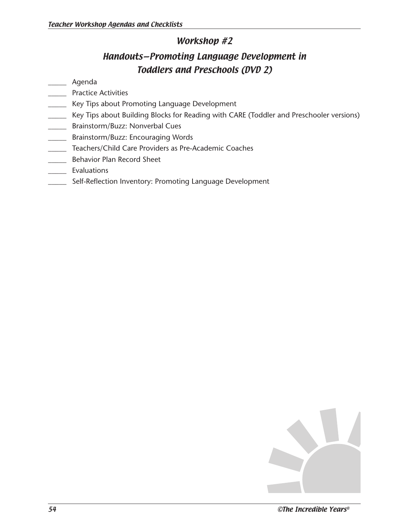### Workshop #2

## Handouts—Promoting Language Development in Toddlers and Preschools (DVD 2)

- \_\_\_\_\_ Agenda
- \_\_\_\_\_ Practice Activities
- \_\_\_\_\_ Key Tips about Promoting Language Development
- \_\_\_\_\_ Key Tips about Building Blocks for Reading with CARE (Toddler and Preschooler versions)
- \_\_\_\_\_ Brainstorm/Buzz: Nonverbal Cues
- \_\_\_\_\_ Brainstorm/Buzz: Encouraging Words
- \_\_\_\_\_ Teachers/Child Care Providers as Pre-Academic Coaches
- \_\_\_\_\_ Behavior Plan Record Sheet
- \_\_\_\_\_ Evaluations
- \_\_\_\_\_ Self-Reflection Inventory: Promoting Language Development

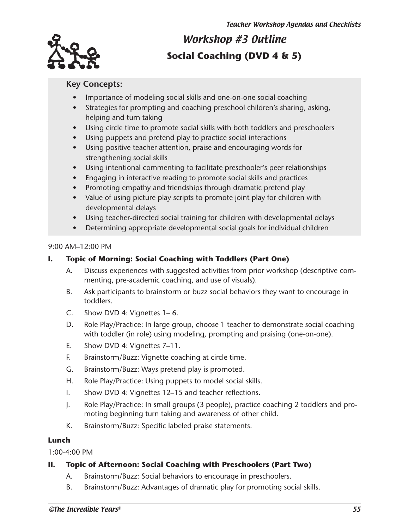

## Workshop #3 Outline **Social Coaching (DVD 4 & 5)**

#### **Key Concepts:**

- Importance of modeling social skills and one-on-one social coaching
- Strategies for prompting and coaching preschool children's sharing, asking, helping and turn taking
- Using circle time to promote social skills with both toddlers and preschoolers
- Using puppets and pretend play to practice social interactions
- Using positive teacher attention, praise and encouraging words for strengthening social skills
- Using intentional commenting to facilitate preschooler's peer relationships
- Engaging in interactive reading to promote social skills and practices
- Promoting empathy and friendships through dramatic pretend play
- Value of using picture play scripts to promote joint play for children with developmental delays
- Using teacher-directed social training for children with developmental delays
- Determining appropriate developmental social goals for individual children

#### 9:00 AM–12:00 PM

#### **I. Topic of Morning: Social Coaching with Toddlers (Part One)**

- A. Discuss experiences with suggested activities from prior workshop (descriptive commenting, pre-academic coaching, and use of visuals).
- B. Ask participants to brainstorm or buzz social behaviors they want to encourage in toddlers.
- C. Show DVD 4: Vignettes 1– 6.
- D. Role Play/Practice: In large group, choose 1 teacher to demonstrate social coaching with toddler (in role) using modeling, prompting and praising (one-on-one).
- E. Show DVD 4: Vignettes 7–11.
- F. Brainstorm/Buzz: Vignette coaching at circle time.
- G. Brainstorm/Buzz: Ways pretend play is promoted.
- H. Role Play/Practice: Using puppets to model social skills.
- I. Show DVD 4: Vignettes 12–15 and teacher reflections.
- J. Role Play/Practice: In small groups (3 people), practice coaching 2 toddlers and promoting beginning turn taking and awareness of other child.
- K. Brainstorm/Buzz: Specific labeled praise statements.

#### **Lunch**

1:00-4:00 PM

#### **II. Topic of Afternoon: Social Coaching with Preschoolers (Part Two)**

- A. Brainstorm/Buzz: Social behaviors to encourage in preschoolers.
- B. Brainstorm/Buzz: Advantages of dramatic play for promoting social skills.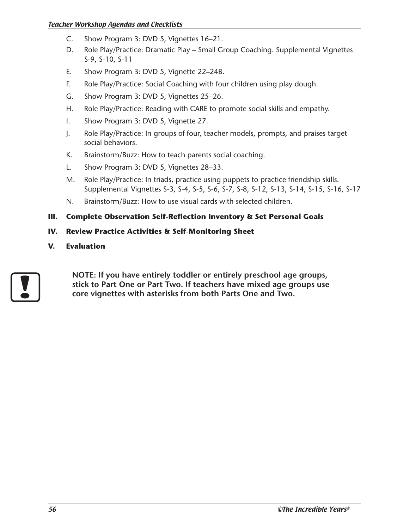#### Teacher Workshop Agendas and Checklists

- C. Show Program 3: DVD 5, Vignettes 16–21.
- D. Role Play/Practice: Dramatic Play Small Group Coaching. Supplemental Vignettes S-9, S-10, S-11
- E. Show Program 3: DVD 5, Vignette 22–24B.
- F. Role Play/Practice: Social Coaching with four children using play dough.
- G. Show Program 3: DVD 5, Vignettes 25–26.
- H. Role Play/Practice: Reading with CARE to promote social skills and empathy.
- I. Show Program 3: DVD 5, Vignette 27.
- J. Role Play/Practice: In groups of four, teacher models, prompts, and praises target social behaviors.
- K. Brainstorm/Buzz: How to teach parents social coaching.
- L. Show Program 3: DVD 5, Vignettes 28–33.
- M. Role Play/Practice: In triads, practice using puppets to practice friendship skills. Supplemental Vignettes S-3, S-4, S-5, S-6, S-7, S-8, S-12, S-13, S-14, S-15, S-16, S-17
- N. Brainstorm/Buzz: How to use visual cards with selected children.

#### **III. Complete Observation Self-Reflection Inventory & Set Personal Goals**

#### **IV. Review Practice Activities & Self-Monitoring Sheet**

**V. Evaluation**



**NOTE: If you have entirely toddler or entirely preschool age groups, Similar Stick to Part One or Part Two. If teachers have mixed age groups use**<br> **18 core vignettes with asterisks from both Parts One and Two.**<br> **18 core vignettes with asterisks from both Parts One and Two.**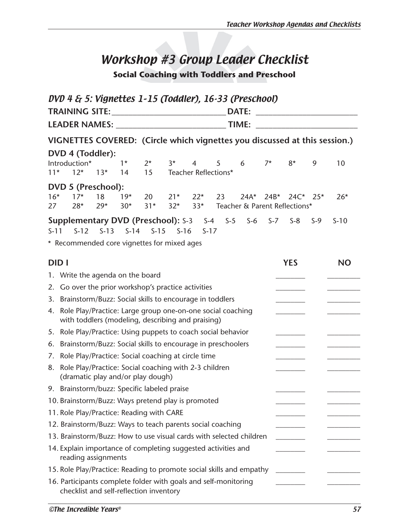# Workshop #3 Group Leader Checklist

**Social Coaching with Toddlers and Preschool**

| DVD 4 & 5: Vignettes 1-15 (Toddler), 16-33 (Preschool)<br><b>DATE:</b><br>TIME:<br>VIGNETTES COVERED: (Circle which vignettes you discussed at this session.)<br>DVD 4 (Toddler):<br>$2^*$<br>$3*$<br>Introduction*<br>$1*$<br>6<br>$7*$<br>$8*$<br>9<br>$\overline{4}$<br>5<br>$12*$<br>$11*$<br>$13*$<br>15<br>Teacher Reflections*<br>14<br>DVD 5 (Preschool):<br>$16*$<br>$17*$<br>18<br>$19*$<br>$21*$<br>$22*$<br>23<br>20<br>$24A^*$<br>$24B*$<br>$24C^*$<br>$25*$<br>$31*$<br>$29*$<br>$28*$<br>$30*$<br>$32*$<br>$33*$<br>Teacher & Parent Reflections*<br>27<br><b>Supplementary DVD (Preschool):</b> S-3 S-4 S-5 S-6 S-7 S-8<br>$S-9$<br>$S-15$<br>S-12 S-13 S-14<br>$S-16$<br>$S-11$<br>$S-17$<br>* Recommended core vignettes for mixed ages<br><b>DIDI</b><br><b>YES</b><br>1. Write the agenda on the board<br>2. Go over the prior workshop's practice activities<br>3. Brainstorm/Buzz: Social skills to encourage in toddlers<br>4. Role Play/Practice: Large group one-on-one social coaching<br>with toddlers (modeling, describing and praising)<br>Role Play/Practice: Using puppets to coach social behavior<br>5.<br>Brainstorm/Buzz: Social skills to encourage in preschoolers<br>6.<br>Role Play/Practice: Social coaching at circle time<br>7.<br>Role Play/Practice: Social coaching with 2-3 children<br>(dramatic play and/or play dough)<br>9. Brainstorm/buzz: Specific labeled praise<br>10. Brainstorm/Buzz: Ways pretend play is promoted<br>11. Role Play/Practice: Reading with CARE<br>12. Brainstorm/Buzz: Ways to teach parents social coaching<br>13. Brainstorm/Buzz: How to use visual cards with selected children<br>14. Explain importance of completing suggested activities and<br>reading assignments<br>15. Role Play/Practice: Reading to promote social skills and empathy<br>16. Participants complete folder with goals and self-monitoring |                                         |  |  |  |  |  |           |
|----------------------------------------------------------------------------------------------------------------------------------------------------------------------------------------------------------------------------------------------------------------------------------------------------------------------------------------------------------------------------------------------------------------------------------------------------------------------------------------------------------------------------------------------------------------------------------------------------------------------------------------------------------------------------------------------------------------------------------------------------------------------------------------------------------------------------------------------------------------------------------------------------------------------------------------------------------------------------------------------------------------------------------------------------------------------------------------------------------------------------------------------------------------------------------------------------------------------------------------------------------------------------------------------------------------------------------------------------------------------------------------------------------------------------------------------------------------------------------------------------------------------------------------------------------------------------------------------------------------------------------------------------------------------------------------------------------------------------------------------------------------------------------------------------------------------------------------------------------------------------------------------------|-----------------------------------------|--|--|--|--|--|-----------|
|                                                                                                                                                                                                                                                                                                                                                                                                                                                                                                                                                                                                                                                                                                                                                                                                                                                                                                                                                                                                                                                                                                                                                                                                                                                                                                                                                                                                                                                                                                                                                                                                                                                                                                                                                                                                                                                                                                    |                                         |  |  |  |  |  |           |
|                                                                                                                                                                                                                                                                                                                                                                                                                                                                                                                                                                                                                                                                                                                                                                                                                                                                                                                                                                                                                                                                                                                                                                                                                                                                                                                                                                                                                                                                                                                                                                                                                                                                                                                                                                                                                                                                                                    |                                         |  |  |  |  |  | 10        |
|                                                                                                                                                                                                                                                                                                                                                                                                                                                                                                                                                                                                                                                                                                                                                                                                                                                                                                                                                                                                                                                                                                                                                                                                                                                                                                                                                                                                                                                                                                                                                                                                                                                                                                                                                                                                                                                                                                    |                                         |  |  |  |  |  | $26*$     |
|                                                                                                                                                                                                                                                                                                                                                                                                                                                                                                                                                                                                                                                                                                                                                                                                                                                                                                                                                                                                                                                                                                                                                                                                                                                                                                                                                                                                                                                                                                                                                                                                                                                                                                                                                                                                                                                                                                    |                                         |  |  |  |  |  | $S-10$    |
|                                                                                                                                                                                                                                                                                                                                                                                                                                                                                                                                                                                                                                                                                                                                                                                                                                                                                                                                                                                                                                                                                                                                                                                                                                                                                                                                                                                                                                                                                                                                                                                                                                                                                                                                                                                                                                                                                                    |                                         |  |  |  |  |  | <b>NO</b> |
|                                                                                                                                                                                                                                                                                                                                                                                                                                                                                                                                                                                                                                                                                                                                                                                                                                                                                                                                                                                                                                                                                                                                                                                                                                                                                                                                                                                                                                                                                                                                                                                                                                                                                                                                                                                                                                                                                                    |                                         |  |  |  |  |  |           |
|                                                                                                                                                                                                                                                                                                                                                                                                                                                                                                                                                                                                                                                                                                                                                                                                                                                                                                                                                                                                                                                                                                                                                                                                                                                                                                                                                                                                                                                                                                                                                                                                                                                                                                                                                                                                                                                                                                    |                                         |  |  |  |  |  |           |
|                                                                                                                                                                                                                                                                                                                                                                                                                                                                                                                                                                                                                                                                                                                                                                                                                                                                                                                                                                                                                                                                                                                                                                                                                                                                                                                                                                                                                                                                                                                                                                                                                                                                                                                                                                                                                                                                                                    |                                         |  |  |  |  |  |           |
|                                                                                                                                                                                                                                                                                                                                                                                                                                                                                                                                                                                                                                                                                                                                                                                                                                                                                                                                                                                                                                                                                                                                                                                                                                                                                                                                                                                                                                                                                                                                                                                                                                                                                                                                                                                                                                                                                                    |                                         |  |  |  |  |  |           |
|                                                                                                                                                                                                                                                                                                                                                                                                                                                                                                                                                                                                                                                                                                                                                                                                                                                                                                                                                                                                                                                                                                                                                                                                                                                                                                                                                                                                                                                                                                                                                                                                                                                                                                                                                                                                                                                                                                    |                                         |  |  |  |  |  |           |
|                                                                                                                                                                                                                                                                                                                                                                                                                                                                                                                                                                                                                                                                                                                                                                                                                                                                                                                                                                                                                                                                                                                                                                                                                                                                                                                                                                                                                                                                                                                                                                                                                                                                                                                                                                                                                                                                                                    |                                         |  |  |  |  |  |           |
|                                                                                                                                                                                                                                                                                                                                                                                                                                                                                                                                                                                                                                                                                                                                                                                                                                                                                                                                                                                                                                                                                                                                                                                                                                                                                                                                                                                                                                                                                                                                                                                                                                                                                                                                                                                                                                                                                                    |                                         |  |  |  |  |  |           |
| 8.                                                                                                                                                                                                                                                                                                                                                                                                                                                                                                                                                                                                                                                                                                                                                                                                                                                                                                                                                                                                                                                                                                                                                                                                                                                                                                                                                                                                                                                                                                                                                                                                                                                                                                                                                                                                                                                                                                 |                                         |  |  |  |  |  |           |
|                                                                                                                                                                                                                                                                                                                                                                                                                                                                                                                                                                                                                                                                                                                                                                                                                                                                                                                                                                                                                                                                                                                                                                                                                                                                                                                                                                                                                                                                                                                                                                                                                                                                                                                                                                                                                                                                                                    |                                         |  |  |  |  |  |           |
|                                                                                                                                                                                                                                                                                                                                                                                                                                                                                                                                                                                                                                                                                                                                                                                                                                                                                                                                                                                                                                                                                                                                                                                                                                                                                                                                                                                                                                                                                                                                                                                                                                                                                                                                                                                                                                                                                                    |                                         |  |  |  |  |  |           |
|                                                                                                                                                                                                                                                                                                                                                                                                                                                                                                                                                                                                                                                                                                                                                                                                                                                                                                                                                                                                                                                                                                                                                                                                                                                                                                                                                                                                                                                                                                                                                                                                                                                                                                                                                                                                                                                                                                    |                                         |  |  |  |  |  |           |
|                                                                                                                                                                                                                                                                                                                                                                                                                                                                                                                                                                                                                                                                                                                                                                                                                                                                                                                                                                                                                                                                                                                                                                                                                                                                                                                                                                                                                                                                                                                                                                                                                                                                                                                                                                                                                                                                                                    |                                         |  |  |  |  |  |           |
|                                                                                                                                                                                                                                                                                                                                                                                                                                                                                                                                                                                                                                                                                                                                                                                                                                                                                                                                                                                                                                                                                                                                                                                                                                                                                                                                                                                                                                                                                                                                                                                                                                                                                                                                                                                                                                                                                                    |                                         |  |  |  |  |  |           |
|                                                                                                                                                                                                                                                                                                                                                                                                                                                                                                                                                                                                                                                                                                                                                                                                                                                                                                                                                                                                                                                                                                                                                                                                                                                                                                                                                                                                                                                                                                                                                                                                                                                                                                                                                                                                                                                                                                    |                                         |  |  |  |  |  |           |
|                                                                                                                                                                                                                                                                                                                                                                                                                                                                                                                                                                                                                                                                                                                                                                                                                                                                                                                                                                                                                                                                                                                                                                                                                                                                                                                                                                                                                                                                                                                                                                                                                                                                                                                                                                                                                                                                                                    |                                         |  |  |  |  |  |           |
|                                                                                                                                                                                                                                                                                                                                                                                                                                                                                                                                                                                                                                                                                                                                                                                                                                                                                                                                                                                                                                                                                                                                                                                                                                                                                                                                                                                                                                                                                                                                                                                                                                                                                                                                                                                                                                                                                                    | checklist and self-reflection inventory |  |  |  |  |  |           |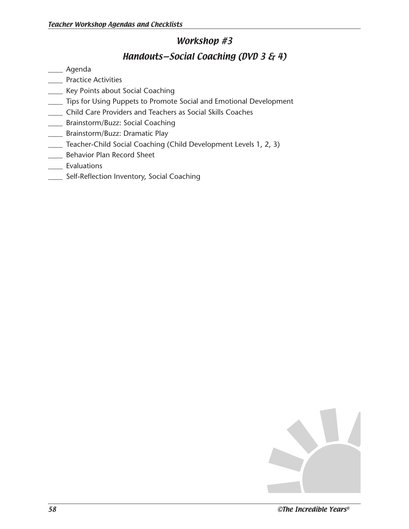## Workshop #3

### Handouts—Social Coaching (DVD 3 & 4)

- \_\_\_\_ Agenda
- \_\_\_\_ Practice Activities
- \_\_\_\_ Key Points about Social Coaching
- \_\_\_\_ Tips for Using Puppets to Promote Social and Emotional Development
- \_\_\_\_ Child Care Providers and Teachers as Social Skills Coaches
- \_\_\_\_ Brainstorm/Buzz: Social Coaching
- **Example 25 Brainstorm/Buzz: Dramatic Play**
- \_\_\_\_ Teacher-Child Social Coaching (Child Development Levels 1, 2, 3)
- \_\_\_\_ Behavior Plan Record Sheet
- \_\_\_\_ Evaluations
- **\_\_\_\_\_** Self-Reflection Inventory, Social Coaching

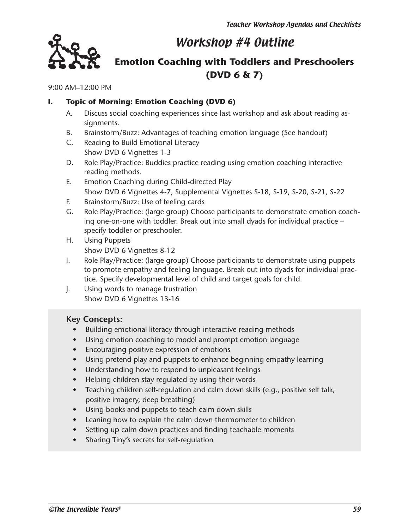## Workshop #4 Outline



## **Emotion Coaching with Toddlers and Preschoolers (DVD 6 & 7)**

9:00 AM–12:00 PM

#### **I. Topic of Morning: Emotion Coaching (DVD 6)**

- A. Discuss social coaching experiences since last workshop and ask about reading assignments.
- B. Brainstorm/Buzz: Advantages of teaching emotion language (See handout)
- C. Reading to Build Emotional Literacy Show DVD 6 Vignettes 1-3
- D. Role Play/Practice: Buddies practice reading using emotion coaching interactive reading methods.
- E. Emotion Coaching during Child-directed Play Show DVD 6 Vignettes 4-7, Supplemental Vignettes S-18, S-19, S-20, S-21, S-22
- F. Brainstorm/Buzz: Use of feeling cards
- G. Role Play/Practice: (large group) Choose participants to demonstrate emotion coaching one-on-one with toddler. Break out into small dyads for individual practice – specify toddler or preschooler.
- H. Using Puppets Show DVD 6 Vignettes 8-12
- I. Role Play/Practice: (large group) Choose participants to demonstrate using puppets to promote empathy and feeling language. Break out into dyads for individual practice. Specify developmental level of child and target goals for child.
- J. Using words to manage frustration Show DVD 6 Vignettes 13-16

#### **Key Concepts:**

- Building emotional literacy through interactive reading methods
- Using emotion coaching to model and prompt emotion language
- Encouraging positive expression of emotions
- Using pretend play and puppets to enhance beginning empathy learning
- Understanding how to respond to unpleasant feelings
- Helping children stay regulated by using their words
- Teaching children self-regulation and calm down skills (e.g., positive self talk, positive imagery, deep breathing)
- Using books and puppets to teach calm down skills
- Leaning how to explain the calm down thermometer to children
- Setting up calm down practices and finding teachable moments
- Sharing Tiny's secrets for self-regulation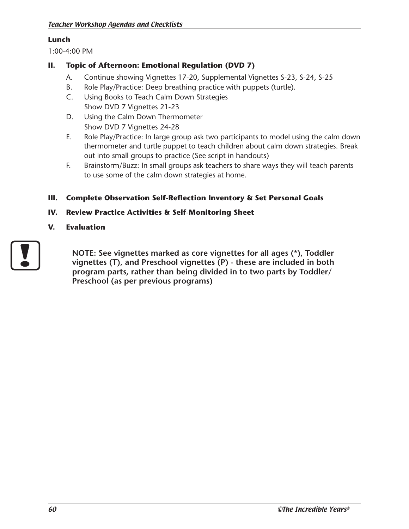#### **Lunch**

1:00-4:00 PM

#### **II. Topic of Afternoon: Emotional Regulation (DVD 7)**

- A. Continue showing Vignettes 17-20, Supplemental Vignettes S-23, S-24, S-25
- B. Role Play/Practice: Deep breathing practice with puppets (turtle).
- C. Using Books to Teach Calm Down Strategies Show DVD 7 Vignettes 21-23
- D. Using the Calm Down Thermometer Show DVD 7 Vignettes 24-28
- E. Role Play/Practice: In large group ask two participants to model using the calm down thermometer and turtle puppet to teach children about calm down strategies. Break out into small groups to practice (See script in handouts)
- F. Brainstorm/Buzz: In small groups ask teachers to share ways they will teach parents to use some of the calm down strategies at home.

#### **III. Complete Observation Self-Reflection Inventory & Set Personal Goals**

#### **IV. Review Practice Activities & Self-Monitoring Sheet**

**V. Evaluation**



**NOTE: See vignettes marked as core vignettes for all ages (\*), Toddler vignettes (T), and Preschool vignettes (P) - these are included in both program parts, rather than being divided in to two parts by Toddler/ Preschool (as per previous programs)**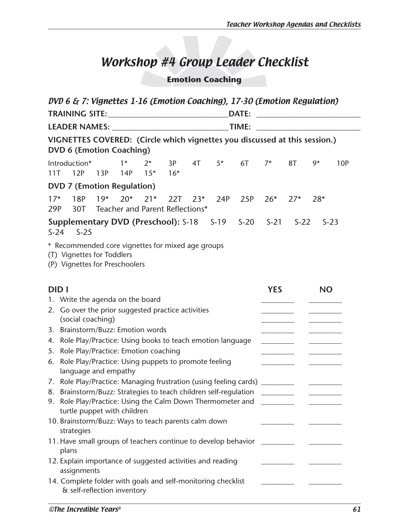# Workshop #4 Group Leader Checklist

**Emotion Coaching**

|     | DVD 6 & 7: Vignettes 1-16 (Emotion Coaching), 17-30 (Emotion Regulation)                                                                             |                 |  |     |       |                               |           |                                                                                                                                                                                                                                                                                                                                                                                                                                                                            |        |
|-----|------------------------------------------------------------------------------------------------------------------------------------------------------|-----------------|--|-----|-------|-------------------------------|-----------|----------------------------------------------------------------------------------------------------------------------------------------------------------------------------------------------------------------------------------------------------------------------------------------------------------------------------------------------------------------------------------------------------------------------------------------------------------------------------|--------|
|     |                                                                                                                                                      |                 |  |     | DATE: |                               |           |                                                                                                                                                                                                                                                                                                                                                                                                                                                                            |        |
|     |                                                                                                                                                      |                 |  |     |       |                               |           |                                                                                                                                                                                                                                                                                                                                                                                                                                                                            |        |
|     | VIGNETTES COVERED: (Circle which vignettes you discussed at this session.)<br><b>DVD 6 (Emotion Coaching)</b>                                        |                 |  |     |       |                               |           |                                                                                                                                                                                                                                                                                                                                                                                                                                                                            |        |
| 11T | Introduction* $1*$ $2*$ 3P 4T $5*$ 6T<br>12P                                                                                                         | 13P 14P 15* 16* |  |     |       | $7^*$                         | <b>8T</b> | $9*$                                                                                                                                                                                                                                                                                                                                                                                                                                                                       | 10P    |
|     | <b>DVD 7 (Emotion Regulation)</b>                                                                                                                    |                 |  |     |       |                               |           |                                                                                                                                                                                                                                                                                                                                                                                                                                                                            |        |
|     | $17*$ 18P $19*$ 20* 21* 22T 23*<br>29P 30T Teacher and Parent Reflections*                                                                           |                 |  | 24P |       | $25P$ $26*$                   | $27*$     | $28*$                                                                                                                                                                                                                                                                                                                                                                                                                                                                      |        |
|     | <b>Supplementary DVD (Preschool): S-18  S-19  S-20  S-21  S-22</b><br>$S-24$<br>$S-25$                                                               |                 |  |     |       |                               |           |                                                                                                                                                                                                                                                                                                                                                                                                                                                                            | $S-23$ |
|     | * Recommended core vignettes for mixed age groups<br>(T) Vignettes for Toddlers<br>(P) Vignettes for Preschoolers                                    |                 |  |     |       |                               |           |                                                                                                                                                                                                                                                                                                                                                                                                                                                                            |        |
|     | <b>DIDI</b>                                                                                                                                          |                 |  |     |       | <b>YES</b>                    |           | <b>NO</b>                                                                                                                                                                                                                                                                                                                                                                                                                                                                  |        |
|     | 1. Write the agenda on the board                                                                                                                     |                 |  |     |       |                               |           |                                                                                                                                                                                                                                                                                                                                                                                                                                                                            |        |
|     | 2. Go over the prior suggested practice activities<br>(social coaching)                                                                              |                 |  |     |       |                               |           | $\frac{1}{2} \left( \frac{1}{2} \right) \left( \frac{1}{2} \right) \left( \frac{1}{2} \right) \left( \frac{1}{2} \right) \left( \frac{1}{2} \right) \left( \frac{1}{2} \right) \left( \frac{1}{2} \right) \left( \frac{1}{2} \right) \left( \frac{1}{2} \right) \left( \frac{1}{2} \right) \left( \frac{1}{2} \right) \left( \frac{1}{2} \right) \left( \frac{1}{2} \right) \left( \frac{1}{2} \right) \left( \frac{1}{2} \right) \left( \frac{1}{2} \right) \left( \frac$ |        |
|     | 3. Brainstorm/Buzz: Emotion words                                                                                                                    |                 |  |     |       |                               |           |                                                                                                                                                                                                                                                                                                                                                                                                                                                                            |        |
|     | 4. Role Play/Practice: Using books to teach emotion language                                                                                         |                 |  |     |       |                               |           |                                                                                                                                                                                                                                                                                                                                                                                                                                                                            |        |
|     | 5. Role Play/Practice: Emotion coaching                                                                                                              |                 |  |     |       |                               |           | $\begin{tabular}{ccccc} \multicolumn{2}{c }{\textbf{1} & \textbf{2} & \textbf{3} & \textbf{4} & \textbf{5} & \textbf{5} & \textbf{6} & \textbf{7} & \textbf{8} & \textbf{9} & \textbf{10} & \textbf{10} & \textbf{10} & \textbf{10} & \textbf{10} & \textbf{10} & \textbf{10} & \textbf{10} & \textbf{10} & \textbf{10} & \textbf{10} & \textbf{10} & \textbf{10} & \textbf{10} & \textbf{10} & \textbf{10} & \textbf$                                                     |        |
|     | 6. Role Play/Practice: Using puppets to promote feeling                                                                                              |                 |  |     |       |                               |           |                                                                                                                                                                                                                                                                                                                                                                                                                                                                            |        |
|     | language and empathy                                                                                                                                 |                 |  |     |       |                               |           |                                                                                                                                                                                                                                                                                                                                                                                                                                                                            |        |
|     | 7. Role Play/Practice: Managing frustration (using feeling cards) ______________<br>8. Brainstorm/Buzz: Strategies to teach children self-regulation |                 |  |     |       |                               |           |                                                                                                                                                                                                                                                                                                                                                                                                                                                                            |        |
|     | 9. Role Play/Practice: Using the Calm Down Thermometer and _________                                                                                 |                 |  |     |       |                               |           |                                                                                                                                                                                                                                                                                                                                                                                                                                                                            |        |
|     | turtle puppet with children                                                                                                                          |                 |  |     |       |                               |           |                                                                                                                                                                                                                                                                                                                                                                                                                                                                            |        |
|     | 10. Brainstorm/Buzz: Ways to teach parents calm down<br>strategies                                                                                   |                 |  |     |       |                               |           |                                                                                                                                                                                                                                                                                                                                                                                                                                                                            |        |
|     | 11. Have small groups of teachers continue to develop behavior<br>plans                                                                              |                 |  |     |       | $\mathcal{L}=\{1,2,3,4,5\}$ . |           |                                                                                                                                                                                                                                                                                                                                                                                                                                                                            |        |
|     | 12. Explain importance of suggested activities and reading<br>assignments                                                                            |                 |  |     |       |                               |           |                                                                                                                                                                                                                                                                                                                                                                                                                                                                            |        |
|     | 14. Complete folder with goals and self-monitoring checklist<br>& self-reflection inventory                                                          |                 |  |     |       |                               |           |                                                                                                                                                                                                                                                                                                                                                                                                                                                                            |        |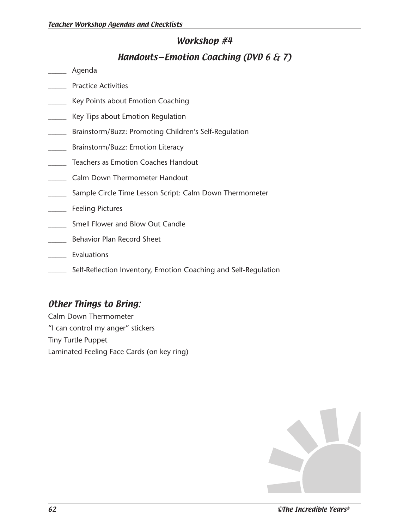### Workshop #4

## Handouts—Emotion Coaching (DVD 6 & 7)

- \_\_\_\_\_ Agenda
- Practice Activities
- \_\_\_\_\_ Key Points about Emotion Coaching
- \_\_\_\_\_ Key Tips about Emotion Regulation
- \_\_\_\_\_ Brainstorm/Buzz: Promoting Children's Self-Regulation
- \_\_\_\_\_ Brainstorm/Buzz: Emotion Literacy
- \_\_\_\_\_ Teachers as Emotion Coaches Handout
- \_\_\_\_\_ Calm Down Thermometer Handout
- \_\_\_\_\_ Sample Circle Time Lesson Script: Calm Down Thermometer
- \_\_\_\_\_ Feeling Pictures
- \_\_\_\_\_ Smell Flower and Blow Out Candle
- \_\_\_\_\_ Behavior Plan Record Sheet
- \_\_\_\_\_ Evaluations
- \_\_\_\_\_ Self-Reflection Inventory, Emotion Coaching and Self-Regulation

### Other Things to Bring:

Calm Down Thermometer "I can control my anger" stickers Tiny Turtle Puppet Laminated Feeling Face Cards (on key ring)

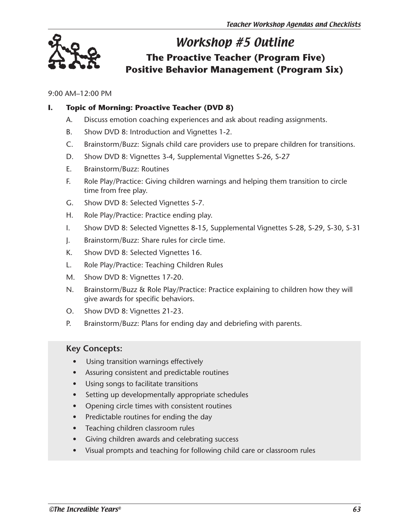

## Workshop #5 Outline

## **The Proactive Teacher (Program Five) Positive Behavior Management (Program Six)**

9:00 AM–12:00 PM

#### **I. Topic of Morning: Proactive Teacher (DVD 8)**

- A. Discuss emotion coaching experiences and ask about reading assignments.
- B. Show DVD 8: Introduction and Vignettes 1-2.
- C. Brainstorm/Buzz: Signals child care providers use to prepare children for transitions.
- D. Show DVD 8: Vignettes 3-4, Supplemental Vignettes S-26, S-27
- E. Brainstorm/Buzz: Routines
- F. Role Play/Practice: Giving children warnings and helping them transition to circle time from free play.
- G. Show DVD 8: Selected Vignettes 5-7.
- H. Role Play/Practice: Practice ending play.
- I. Show DVD 8: Selected Vignettes 8-15, Supplemental Vignettes S-28, S-29, S-30, S-31
- J. Brainstorm/Buzz: Share rules for circle time.
- K. Show DVD 8: Selected Vignettes 16.
- L. Role Play/Practice: Teaching Children Rules
- M. Show DVD 8: Vignettes 17-20.
- N. Brainstorm/Buzz & Role Play/Practice: Practice explaining to children how they will give awards for specific behaviors.
- O. Show DVD 8: Vignettes 21-23.
- P. Brainstorm/Buzz: Plans for ending day and debriefing with parents.

#### **Key Concepts:**

- Using transition warnings effectively
- Assuring consistent and predictable routines
- Using songs to facilitate transitions
- Setting up developmentally appropriate schedules
- Opening circle times with consistent routines
- Predictable routines for ending the day
- Teaching children classroom rules
- Giving children awards and celebrating success
- Visual prompts and teaching for following child care or classroom rules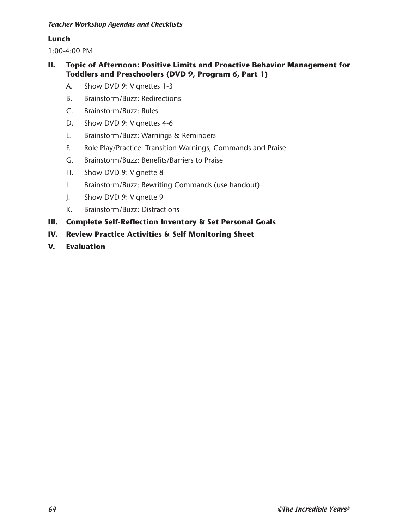#### **Lunch**

1:00-4:00 PM

#### **II. Topic of Afternoon: Positive Limits and Proactive Behavior Management for Toddlers and Preschoolers (DVD 9, Program 6, Part 1)**

- A. Show DVD 9: Vignettes 1-3
- B. Brainstorm/Buzz: Redirections
- C. Brainstorm/Buzz: Rules
- D. Show DVD 9: Vignettes 4-6
- E. Brainstorm/Buzz: Warnings & Reminders
- F. Role Play/Practice: Transition Warnings, Commands and Praise
- G. Brainstorm/Buzz: Benefits/Barriers to Praise
- H. Show DVD 9: Vignette 8
- I. Brainstorm/Buzz: Rewriting Commands (use handout)
- J. Show DVD 9: Vignette 9
- K. Brainstorm/Buzz: Distractions
- **III. Complete Self-Reflection Inventory & Set Personal Goals**
- **IV. Review Practice Activities & Self-Monitoring Sheet**
- **V. Evaluation**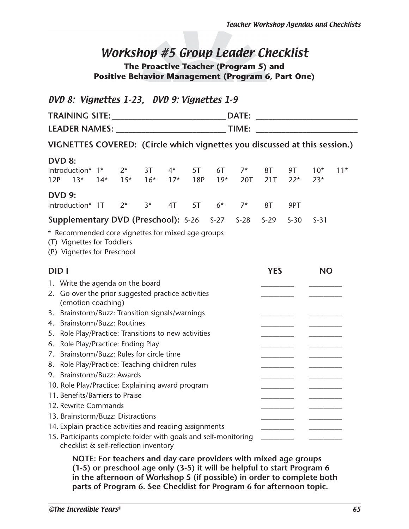## Workshop #5 Group Leader Checklist

**The Proactive Teacher (Program 5) and Positive Behavior Management (Program 6, Part One)** 

| DVD 8: Vignettes 1-23, DVD 9: Vignettes 1-9                                                                    |            |                               |      |                |           |             |             |           |                                                      |                |       |
|----------------------------------------------------------------------------------------------------------------|------------|-------------------------------|------|----------------|-----------|-------------|-------------|-----------|------------------------------------------------------|----------------|-------|
|                                                                                                                |            |                               |      |                |           |             |             |           |                                                      |                |       |
|                                                                                                                |            |                               |      |                |           |             |             |           | <u> 1980 - Jan Barnett, fransk politik (d. 1980)</u> |                |       |
| VIGNETTES COVERED: (Circle which vignettes you discussed at this session.)                                     |            |                               |      |                |           |             |             |           |                                                      |                |       |
| <b>DVD 8:</b>                                                                                                  |            |                               |      |                |           |             |             |           |                                                      |                |       |
| Introduction* 1*<br>$13*$<br>12P                                                                               |            | $2^*$<br>$14^*$ $15^*$ $16^*$ | 3T   | $4^*$<br>$17*$ | 5T<br>18P | 6T<br>$19*$ | $7*$<br>20T | 8T<br>21T | 9T<br>$22*$                                          | $10*$<br>$23*$ | $11*$ |
| <b>DVD 9:</b>                                                                                                  |            |                               |      |                |           |             |             |           |                                                      |                |       |
| Introduction* 1T                                                                                               |            | $2^*$                         | $3*$ | 4T             | 5T        | $6*$        | $7*$        | 8T        | 9PT                                                  |                |       |
| <b>Supplementary DVD (Preschool): S-26 S-27</b>                                                                |            |                               |      |                |           |             | $S-28$      | $S-29$    | $S-30$                                               | $S-31$         |       |
| * Recommended core vignettes for mixed age groups<br>(T) Vignettes for Toddlers<br>(P) Vignettes for Preschool |            |                               |      |                |           |             |             |           |                                                      |                |       |
| <b>DIDI</b>                                                                                                    | <b>YES</b> |                               |      |                |           |             |             |           |                                                      | <b>NO</b>      |       |
| 1. Write the agenda on the board                                                                               |            |                               |      |                |           |             |             |           |                                                      |                |       |
| 2. Go over the prior suggested practice activities<br>(emotion coaching)                                       |            |                               |      |                |           |             |             |           |                                                      |                |       |
| 3. Brainstorm/Buzz: Transition signals/warnings                                                                |            |                               |      |                |           |             |             |           |                                                      |                |       |
| 4. Brainstorm/Buzz: Routines                                                                                   |            |                               |      |                |           |             |             |           |                                                      |                |       |
| 5. Role Play/Practice: Transitions to new activities                                                           |            |                               |      |                |           |             |             |           |                                                      |                |       |
| 6. Role Play/Practice: Ending Play                                                                             |            |                               |      |                |           |             |             |           |                                                      |                |       |
| 7. Brainstorm/Buzz: Rules for circle time                                                                      |            |                               |      |                |           |             |             |           |                                                      |                |       |
| 8. Role Play/Practice: Teaching children rules                                                                 |            |                               |      |                |           |             |             |           |                                                      |                |       |
| 9. Brainstorm/Buzz: Awards                                                                                     |            |                               |      |                |           |             |             |           |                                                      |                |       |
| 10. Role Play/Practice: Explaining award program<br>11. Benefits/Barriers to Praise                            |            |                               |      |                |           |             |             |           |                                                      |                |       |
| 12. Rewrite Commands                                                                                           |            |                               |      |                |           |             |             |           |                                                      |                |       |
| 13. Brainstorm/Buzz: Distractions                                                                              |            |                               |      |                |           |             |             |           |                                                      |                |       |
| 14. Explain practice activities and reading assignments                                                        |            |                               |      |                |           |             |             |           |                                                      |                |       |
| 15. Participants complete folder with goals and self-monitoring<br>checklist & self-reflection inventory       |            |                               |      |                |           |             |             |           |                                                      |                |       |

**NOTE: For teachers and day care providers with mixed age groups (1-5) or preschool age only (3-5) it will be helpful to start Program 6 in the afternoon of Workshop 5 (if possible) in order to complete both parts of Program 6. See Checklist for Program 6 for afternoon topic.**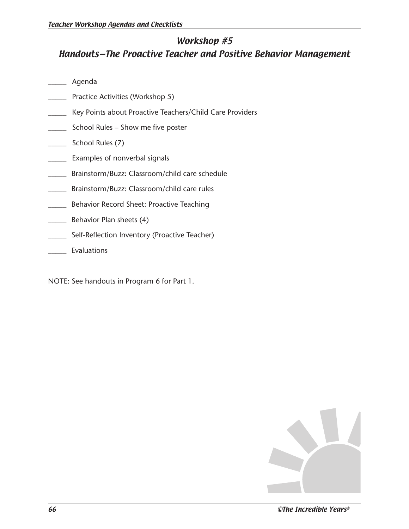### Workshop #5

#### Handouts—The Proactive Teacher and Positive Behavior Management

- \_\_\_\_\_ Agenda
- Practice Activities (Workshop 5)
- \_\_\_\_\_ Key Points about Proactive Teachers/Child Care Providers
- \_\_\_\_\_ School Rules Show me five poster
- \_\_\_\_\_ School Rules (7)
- \_\_\_\_\_ Examples of nonverbal signals
- \_\_\_\_\_ Brainstorm/Buzz: Classroom/child care schedule
- Brainstorm/Buzz: Classroom/child care rules
- \_\_\_\_\_ Behavior Record Sheet: Proactive Teaching
- \_\_\_\_\_ Behavior Plan sheets (4)
- **Example 25 Self-Reflection Inventory (Proactive Teacher)**
- \_\_\_\_\_ Evaluations

NOTE: See handouts in Program 6 for Part 1.

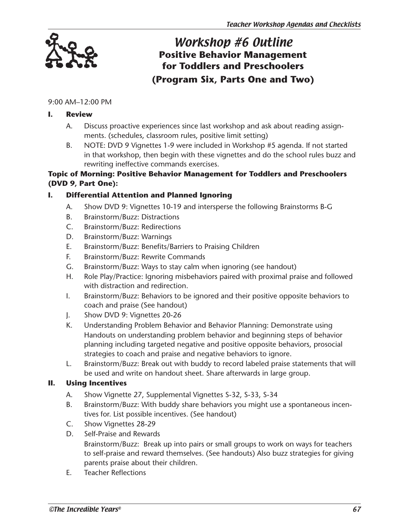

## Workshop #6 Outline **Positive Behavior Management for Toddlers and Preschoolers (Program Six, Parts One and Two)**

9:00 AM–12:00 PM

#### **I. Review**

- A. Discuss proactive experiences since last workshop and ask about reading assignments. (schedules, classroom rules, positive limit setting)
- B. NOTE: DVD 9 Vignettes 1-9 were included in Workshop #5 agenda. If not started in that workshop, then begin with these vignettes and do the school rules buzz and rewriting ineffective commands exercises.

#### **Topic of Morning: Positive Behavior Management for Toddlers and Preschoolers (DVD 9, Part One):**

#### **I. Differential Attention and Planned Ignoring**

- A. Show DVD 9: Vignettes 10-19 and intersperse the following Brainstorms B-G
- B. Brainstorm/Buzz: Distractions
- C. Brainstorm/Buzz: Redirections
- D. Brainstorm/Buzz: Warnings
- E. Brainstorm/Buzz: Benefits/Barriers to Praising Children
- F. Brainstorm/Buzz: Rewrite Commands
- G. Brainstorm/Buzz: Ways to stay calm when ignoring (see handout)
- H. Role Play/Practice: Ignoring misbehaviors paired with proximal praise and followed with distraction and redirection.
- I. Brainstorm/Buzz: Behaviors to be ignored and their positive opposite behaviors to coach and praise (See handout)
- J. Show DVD 9: Vignettes 20-26
- K. Understanding Problem Behavior and Behavior Planning: Demonstrate using Handouts on understanding problem behavior and beginning steps of behavior planning including targeted negative and positive opposite behaviors, prosocial strategies to coach and praise and negative behaviors to ignore.
- L. Brainstorm/Buzz: Break out with buddy to record labeled praise statements that will be used and write on handout sheet. Share afterwards in large group.

#### **II. Using Incentives**

- A. Show Vignette 27, Supplemental Vignettes S-32, S-33, S-34
- B. Brainstorm/Buzz: With buddy share behaviors you might use a spontaneous incentives for. List possible incentives. (See handout)
- C. Show Vignettes 28-29
- D. Self-Praise and Rewards Brainstorm/Buzz: Break up into pairs or small groups to work on ways for teachers to self-praise and reward themselves. (See handouts) Also buzz strategies for giving parents praise about their children.
- E. Teacher Reflections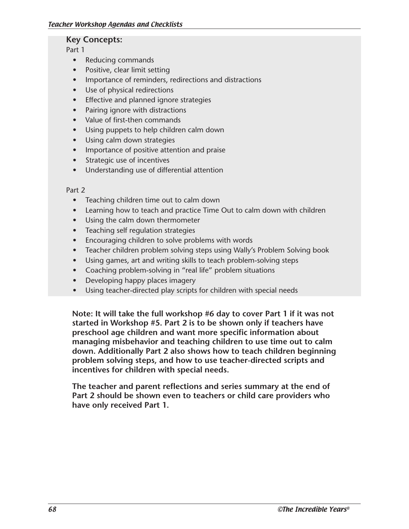#### **Key Concepts:**

Part 1

- Reducing commands
- Positive, clear limit setting
- Importance of reminders, redirections and distractions
- Use of physical redirections
- Effective and planned ignore strategies
- Pairing ignore with distractions
- Value of first-then commands
- Using puppets to help children calm down
- Using calm down strategies
- Importance of positive attention and praise
- Strategic use of incentives
- Understanding use of differential attention

#### Part 2

- Teaching children time out to calm down
- Learning how to teach and practice Time Out to calm down with children
- Using the calm down thermometer
- Teaching self regulation strategies
- Encouraging children to solve problems with words
- Teacher children problem solving steps using Wally's Problem Solving book
- Using games, art and writing skills to teach problem-solving steps
- Coaching problem-solving in "real life" problem situations
- Developing happy places imagery
- Using teacher-directed play scripts for children with special needs

**Note: It will take the full workshop #6 day to cover Part 1 if it was not started in Workshop #5. Part 2 is to be shown only if teachers have preschool age children and want more specific information about managing misbehavior and teaching children to use time out to calm down. Additionally Part 2 also shows how to teach children beginning problem solving steps, and how to use teacher-directed scripts and incentives for children with special needs.** 

**The teacher and parent reflections and series summary at the end of Part 2 should be shown even to teachers or child care providers who have only received Part 1.**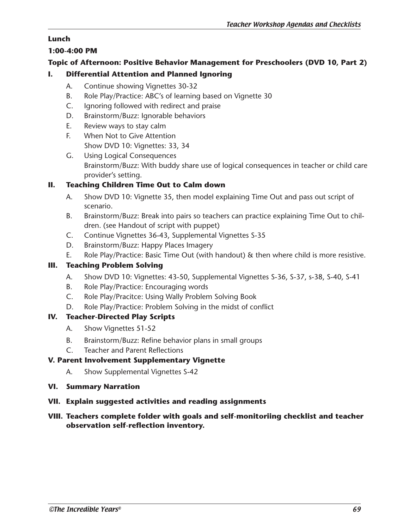#### **Lunch**

#### **1:00-4:00 PM**

#### **Topic of Afternoon: Positive Behavior Management for Preschoolers (DVD 10, Part 2)**

#### **I. Differential Attention and Planned Ignoring**

- A. Continue showing Vignettes 30-32
- B. Role Play/Practice: ABC's of learning based on Vignette 30
- C. Ignoring followed with redirect and praise
- D. Brainstorm/Buzz: Ignorable behaviors
- E. Review ways to stay calm
- F. When Not to Give Attention Show DVD 10: Vignettes: 33, 34
- G. Using Logical Consequences Brainstorm/Buzz: With buddy share use of logical consequences in teacher or child care provider's setting.

#### **II. Teaching Children Time Out to Calm down**

- A. Show DVD 10: Vignette 35, then model explaining Time Out and pass out script of scenario.
- B. Brainstorm/Buzz: Break into pairs so teachers can practice explaining Time Out to children. (see Handout of script with puppet)
- C. Continue Vignettes 36-43, Supplemental Vignettes S-35
- D. Brainstorm/Buzz: Happy Places Imagery
- E. Role Play/Practice: Basic Time Out (with handout) & then where child is more resistive.

#### **III. Teaching Problem Solving**

- A. Show DVD 10: Vignettes: 43-50, Supplemental Vignettes S-36, S-37, s-38, S-40, S-41
- B. Role Play/Practice: Encouraging words
- C. Role Play/Pracitce: Using Wally Problem Solving Book
- D. Role Play/Practice: Problem Solving in the midst of conflict

#### **IV. Teacher-Directed Play Scripts**

- A. Show Vignettes 51-52
- B. Brainstorm/Buzz: Refine behavior plans in small groups
- C. Teacher and Parent Reflections

#### **V. Parent Involvement Supplementary Vignette**

- A. Show Supplemental Vignettes S-42
- **VI. Summary Narration**
- **VII. Explain suggested activities and reading assignments**

#### **VIII. Teachers complete folder with goals and self-monitoriing checklist and teacher observation self-reflection inventory.**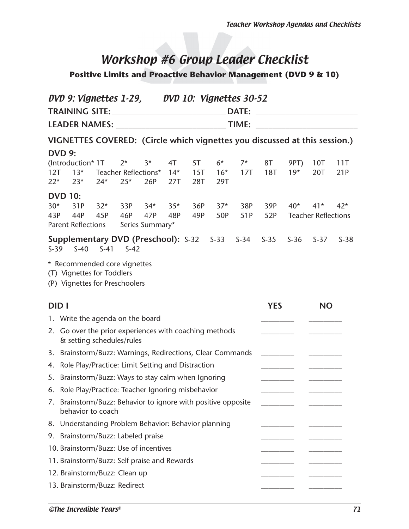## Workshop #6 Group Leader Checklist

**Positive Limits and Proactive Behavior Management (DVD 9 & 10)**

|              | DVD 9: Vignettes 1-29, DVD 10: Vignettes 30-52                                               |                                   |            |                 |              |            |              |            |            |                                              |                                     |        |
|--------------|----------------------------------------------------------------------------------------------|-----------------------------------|------------|-----------------|--------------|------------|--------------|------------|------------|----------------------------------------------|-------------------------------------|--------|
| DATE:        |                                                                                              |                                   |            |                 |              |            |              |            |            |                                              |                                     |        |
|              |                                                                                              |                                   |            |                 |              |            |              |            |            | <u> 1980 - Jan Barnett, fransk kongresu.</u> |                                     |        |
|              | VIGNETTES COVERED: (Circle which vignettes you discussed at this session.)                   |                                   |            |                 |              |            |              |            |            |                                              |                                     |        |
|              | <b>DVD 9:</b>                                                                                |                                   |            |                 |              |            |              |            |            |                                              |                                     |        |
|              | (Introduction* $1T$ $2^*$ $3^*$                                                              |                                   | 4T         | 5T              | $6^*$        | $7^*$      | 8T           | 9PT)       | 10T        | 11T                                          |                                     |        |
| 12T<br>$22*$ | $13*$<br>$23*$                                                                               | Teacher Reflections* 14*<br>$24*$ | $25*$      | 26P             | 27T          | 15T<br>28T | $16*$<br>29T | 17T        | <b>18T</b> | $19*$                                        | <b>20T</b>                          | 21P    |
|              | <b>DVD 10:</b>                                                                               |                                   |            |                 |              |            |              |            |            |                                              |                                     |        |
| $30*$<br>43P | 31P<br>44P                                                                                   | $32*$<br>45P                      | 33P<br>46P | $34*$<br>47P    | $35*$<br>48P | 36P<br>49P | $37*$<br>50P | 38P<br>51P | 39P<br>52P | $40*$                                        | $41*$<br><b>Teacher Reflections</b> | $42*$  |
|              | <b>Parent Reflections</b>                                                                    |                                   |            | Series Summary* |              |            |              |            |            |                                              |                                     |        |
| $S-39$       | <b>Supplementary DVD (Preschool):</b> S-32 S-33 S-34<br>$S-40$                               | $S-41$                            | $S-42$     |                 |              |            |              |            | $S-35$     | $S-36$                                       | $S-37$                              | $S-38$ |
|              | * Recommended core vignettes<br>(T) Vignettes for Toddlers<br>(P) Vignettes for Preschoolers |                                   |            |                 |              |            |              |            |            |                                              |                                     |        |
| <b>DIDI</b>  |                                                                                              |                                   |            |                 |              |            |              |            | <b>YES</b> |                                              | <b>NO</b>                           |        |
|              | 1. Write the agenda on the board                                                             |                                   |            |                 |              |            |              |            |            |                                              |                                     |        |
|              | 2. Go over the prior experiences with coaching methods<br>& setting schedules/rules          |                                   |            |                 |              |            |              |            |            |                                              |                                     |        |
|              | 3. Brainstorm/Buzz: Warnings, Redirections, Clear Commands                                   |                                   |            |                 |              |            |              |            |            |                                              |                                     |        |
|              | 4. Role Play/Practice: Limit Setting and Distraction                                         |                                   |            |                 |              |            |              |            |            |                                              |                                     |        |
|              | 5. Brainstorm/Buzz: Ways to stay calm when Ignoring                                          |                                   |            |                 |              |            |              |            |            |                                              |                                     |        |
|              | 6. Role Play/Practice: Teacher Ignoring misbehavior                                          |                                   |            |                 |              |            |              |            |            |                                              |                                     |        |
|              | 7. Brainstorm/Buzz: Behavior to ignore with positive opposite<br>behavior to coach           |                                   |            |                 |              |            |              |            |            |                                              |                                     |        |
|              | 8. Understanding Problem Behavior: Behavior planning                                         |                                   |            |                 |              |            |              |            |            |                                              |                                     |        |
|              | 9. Brainstorm/Buzz: Labeled praise                                                           |                                   |            |                 |              |            |              |            |            |                                              |                                     |        |
|              | 10. Brainstorm/Buzz: Use of incentives                                                       |                                   |            |                 |              |            |              |            |            |                                              |                                     |        |
|              | 11. Brainstorm/Buzz: Self praise and Rewards                                                 |                                   |            |                 |              |            |              |            |            |                                              |                                     |        |
|              | 12. Brainstorm/Buzz: Clean up                                                                |                                   |            |                 |              |            |              |            |            |                                              |                                     |        |
|              | 13. Brainstorm/Buzz: Redirect                                                                |                                   |            |                 |              |            |              |            |            |                                              |                                     |        |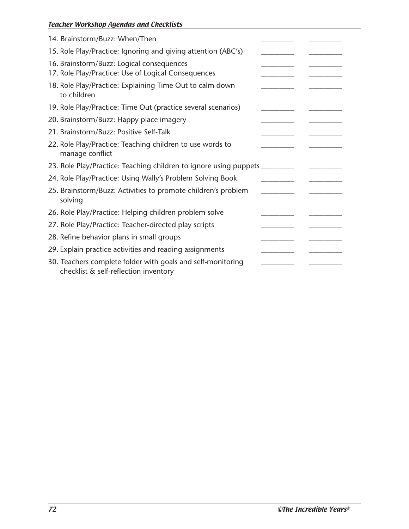#### Teacher Workshop Agendas and Checklists

| 14. Brainstorm/Buzz: When/Then                                                                       |  |  |
|------------------------------------------------------------------------------------------------------|--|--|
| 15. Role Play/Practice: Ignoring and giving attention (ABC's)                                        |  |  |
| 16. Brainstorm/Buzz: Logical consequences<br>17. Role Play/Practice: Use of Logical Consequences     |  |  |
| 18. Role Play/Practice: Explaining Time Out to calm down<br>to children                              |  |  |
| 19. Role Play/Practice: Time Out (practice several scenarios)                                        |  |  |
| 20. Brainstorm/Buzz: Happy place imagery                                                             |  |  |
| 21. Brainstorm/Buzz: Positive Self-Talk                                                              |  |  |
| 22. Role Play/Practice: Teaching children to use words to<br>manage conflict                         |  |  |
| 23. Role Play/Practice: Teaching children to ignore using puppets _________                          |  |  |
| 24. Role Play/Practice: Using Wally's Problem Solving Book                                           |  |  |
| 25. Brainstorm/Buzz: Activities to promote children's problem<br>solving                             |  |  |
| 26. Role Play/Practice: Helping children problem solve                                               |  |  |
| 27. Role Play/Practice: Teacher-directed play scripts                                                |  |  |
| 28. Refine behavior plans in small groups                                                            |  |  |
| 29. Explain practice activities and reading assignments                                              |  |  |
| 30. Teachers complete folder with goals and self-monitoring<br>checklist & self-reflection inventory |  |  |